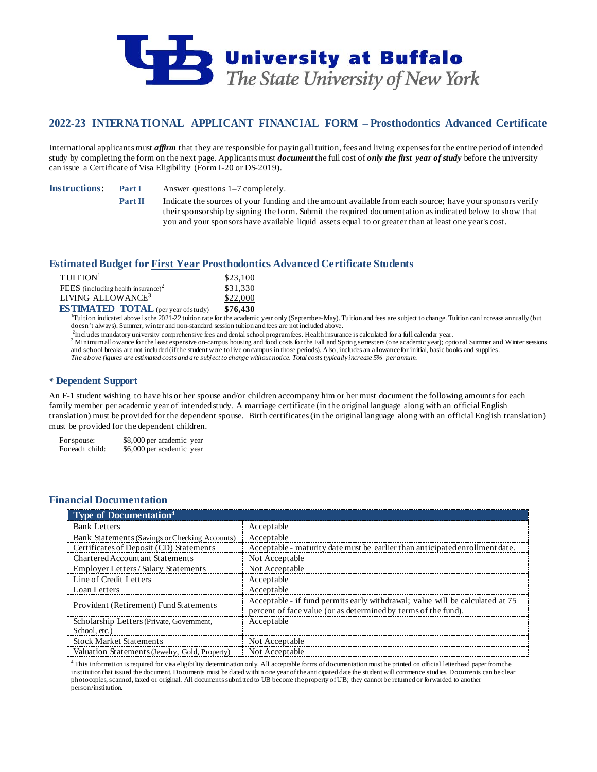

# **2022-23 INTERNATIONAL APPLICANT FINANCIAL FORM – Prosthodontics Advanced Certificate**

International applicants must *affirm* that they are responsible for paying all tuition, fees and living expenses for the entire period of intended study by completing the form on the next page. Applicants must *document* the full cost of *only the first year of study* before the university can issue a Certificate of Visa Eligibility (Form I-20 or DS-2019).

**Instructions: Part I** Answer questions 1–7 completely.

**Part II** Indicate the sources of your funding and the amount available from each source; have your sponsors verify their sponsorship by signing the form. Submit the required documentation as indicated below to show that you and your sponsors have available liquid assets equal to or greater than at least one year's cost.

# **Estimated Budget for First Year Prosthodontics Advanced Certificate Students**

| $T$ UITION <sup>1</sup>                    | \$23,100 |
|--------------------------------------------|----------|
| FEES (including health insurance) $2$      | \$31,330 |
| LIVING ALLOWANCE <sup>3</sup>              | \$22,000 |
| <b>ESTIMATED TOTAL</b> (per year of study) | \$76,430 |

<sup>1</sup>Tuition indicated above is the 2021-22 tuition rate for the academic year only (September–May). Tuition and fees are subject to change. Tuition can increase annually (but doesn't always). Summer, winter and non-standard session tuition and fees are not included above.

<sup>2</sup>Includes mandatory university comprehensive fees and dental school programfees. Health insurance is calculated for a full calendar year.

<sup>3</sup> Minimum allowance for the least expensive on-campus housing and food costs for the Fall and Spring semesters (one academic year); optional Summer and Winter sessions and school breaks are not included (if the student were to live on campus in those periods). Also, includes an allowance for initial, basic books and supplies. *The above figures are estimated costs and are subject to change without notice. Total costs typically increase 5% per annum.*

## **Dependent Support**

An F-1 student wishing to have his or her spouse and/or children accompany him or her must document the following amounts for each family member per academic year of intended study. A marriage certificate (in the original language along with an official English translation) must be provided for the dependent spouse. Birth certificates (in the original language along with an official English translation) must be provided for the dependent children.

For spouse: \$8,000 per academic year<br>For each child: \$6,000 per academic year \$6,000 per academic year

# **Financial Documentation**

| Type of Documentation <sup>4</sup>             |                                                                                                                                                 |
|------------------------------------------------|-------------------------------------------------------------------------------------------------------------------------------------------------|
| <b>Bank Letters</b>                            | Acceptable                                                                                                                                      |
| Bank Statements (Savings or Checking Accounts) | Acceptable                                                                                                                                      |
| Certificates of Deposit (CD) Statements        | Acceptable - maturity date must be earlier than anticipated enrollment date.                                                                    |
| <b>Chartered Accountant Statements</b>         | Not Acceptable                                                                                                                                  |
| Employer Letters/Salary Statements             | Not Acceptable                                                                                                                                  |
| Line of Credit Letters                         | Acceptable                                                                                                                                      |
| Loan Letters                                   | Acceptable                                                                                                                                      |
| Provident (Retirement) Fund Statements         | Acceptable - if fund permits early withdrawal; value will be calculated at 75<br>percent of face value (or as determined by terms of the fund). |
| Scholarship Letters (Private, Government,      | Acceptable                                                                                                                                      |
| School, etc.)                                  |                                                                                                                                                 |
| <b>Stock Market Statements</b>                 | Not Acceptable                                                                                                                                  |
| Valuation Statements (Jewelry, Gold, Property) | Not Acceptable                                                                                                                                  |

<sup>4</sup> This information is required for visa eligibility determination only. All acceptable forms of documentation must be printed on official letterhead paper from the institution that issued the document. Documents must be dated within one year of the anticipated date the student will commence studies. Documents can be clear photocopies, scanned, faxed or original. All documents submitted to UB become the property of UB; they cannot be returned or forwarded to another person/institution.